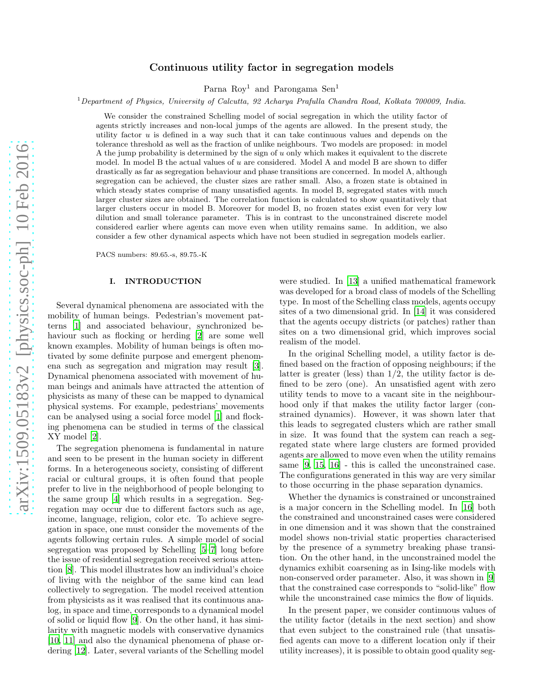# Continuous utility factor in segregation models

Parna Roy<sup>1</sup> and Parongama Sen<sup>1</sup>

<sup>1</sup>*Department of Physics, University of Calcutta, 92 Acharya Prafulla Chandra Road, Kolkata 700009, India.*

We consider the constrained Schelling model of social segregation in which the utility factor of agents strictly increases and non-local jumps of the agents are allowed. In the present study, the utility factor u is defined in a way such that it can take continuous values and depends on the tolerance threshold as well as the fraction of unlike neighbours. Two models are proposed: in model A the jump probability is determined by the sign of  $u$  only which makes it equivalent to the discrete model. In model B the actual values of  $u$  are considered. Model A and model B are shown to differ drastically as far as segregation behaviour and phase transitions are concerned. In model A, although segregation can be achieved, the cluster sizes are rather small. Also, a frozen state is obtained in which steady states comprise of many unsatisfied agents. In model B, segregated states with much larger cluster sizes are obtained. The correlation function is calculated to show quantitatively that larger clusters occur in model B. Moreover for model B, no frozen states exist even for very low dilution and small tolerance parameter. This is in contrast to the unconstrained discrete model considered earlier where agents can move even when utility remains same. In addition, we also consider a few other dynamical aspects which have not been studied in segregation models earlier.

PACS numbers: 89.65.-s, 89.75.-K

#### I. INTRODUCTION

Several dynamical phenomena are associated with the mobility of human beings. Pedestrian's movement patterns [\[1\]](#page-8-0) and associated behaviour, synchronized behaviour such as flocking or herding [\[2\]](#page-8-1) are some well known examples. Mobility of human beings is often motivated by some definite purpose and emergent phenomena such as segregation and migration may result [\[3\]](#page-8-2). Dynamical phenomena associated with movement of human beings and animals have attracted the attention of physicists as many of these can be mapped to dynamical physical systems. For example, pedestrians' movements can be analysed using a social force model [\[1](#page-8-0)] and flocking phenomena can be studied in terms of the classical XY model [\[2\]](#page-8-1).

The segregation phenomena is fundamental in nature and seen to be present in the human society in different forms. In a heterogeneous society, consisting of different racial or cultural groups, it is often found that people prefer to live in the neighborhood of people belonging to the same group [\[4\]](#page-8-3) which results in a segregation. Segregation may occur due to different factors such as age, income, language, religion, color etc. To achieve segregation in space, one must consider the movements of the agents following certain rules. A simple model of social segregation was proposed by Schelling [\[5](#page-8-4)[–7\]](#page-8-5) long before the issue of residential segregation received serious attention [\[8](#page-8-6)]. This model illustrates how an individual's choice of living with the neighbor of the same kind can lead collectively to segregation. The model received attention from physicists as it was realised that its continuous analog, in space and time, corresponds to a dynamical model of solid or liquid flow [\[9](#page-8-7)]. On the other hand, it has similarity with magnetic models with conservative dynamics [\[10,](#page-8-8) [11](#page-8-9)] and also the dynamical phenomena of phase ordering [\[12\]](#page-8-10). Later, several variants of the Schelling model

were studied. In [\[13\]](#page-8-11) a unified mathematical framework was developed for a broad class of models of the Schelling type. In most of the Schelling class models, agents occupy sites of a two dimensional grid. In [\[14\]](#page-8-12) it was considered that the agents occupy districts (or patches) rather than sites on a two dimensional grid, which improves social realism of the model.

In the original Schelling model, a utility factor is defined based on the fraction of opposing neighbours; if the latter is greater (less) than  $1/2$ , the utility factor is defined to be zero (one). An unsatisfied agent with zero utility tends to move to a vacant site in the neighbourhood only if that makes the utility factor larger (constrained dynamics). However, it was shown later that this leads to segregated clusters which are rather small in size. It was found that the system can reach a segregated state where large clusters are formed provided agents are allowed to move even when the utility remains same [\[9,](#page-8-7) [15](#page-8-13), [16](#page-8-14)] - this is called the unconstrained case. The configurations generated in this way are very similar to those occurring in the phase separation dynamics.

Whether the dynamics is constrained or unconstrained is a major concern in the Schelling model. In [\[16](#page-8-14)] both the constrained and unconstrained cases were considered in one dimension and it was shown that the constrained model shows non-trivial static properties characterised by the presence of a symmetry breaking phase transition. On the other hand, in the unconstrained model the dynamics exhibit coarsening as in Ising-like models with non-conserved order parameter. Also, it was shown in [\[9](#page-8-7)] that the constrained case corresponds to "solid-like" flow while the unconstrained case mimics the flow of liquids.

In the present paper, we consider continuous values of the utility factor (details in the next section) and show that even subject to the constrained rule (that unsatisfied agents can move to a different location only if their utility increases), it is possible to obtain good quality seg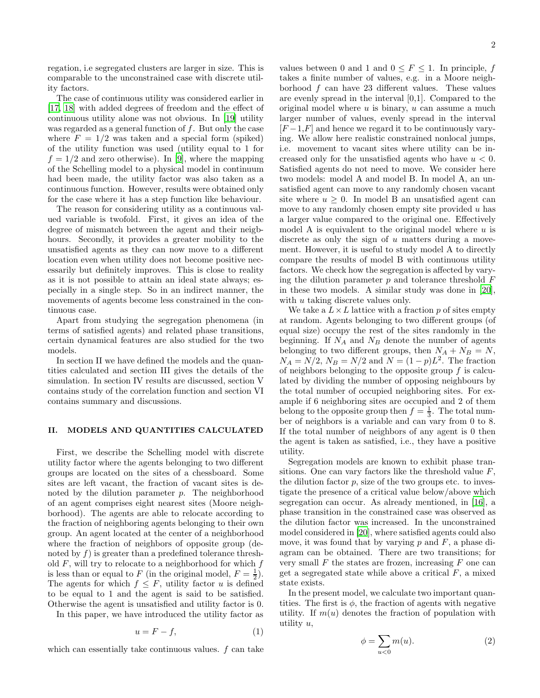regation, i.e segregated clusters are larger in size. This is comparable to the unconstrained case with discrete utility factors.

The case of continuous utility was considered earlier in [\[17,](#page-8-15) [18](#page-8-16)] with added degrees of freedom and the effect of continuous utility alone was not obvious. In [\[19\]](#page-8-17) utility was regarded as a general function of  $f$ . But only the case where  $F = 1/2$  was taken and a special form (spiked) of the utility function was used (utility equal to 1 for  $f = 1/2$  and zero otherwise). In [\[9](#page-8-7)], where the mapping of the Schelling model to a physical model in continuum had been made, the utility factor was also taken as a continuous function. However, results were obtained only for the case where it has a step function like behaviour.

The reason for considering utility as a continuous valued variable is twofold. First, it gives an idea of the degree of mismatch between the agent and their neigbhours. Secondly, it provides a greater mobility to the unsatisfied agents as they can now move to a different location even when utility does not become positive necessarily but definitely improves. This is close to reality as it is not possible to attain an ideal state always; especially in a single step. So in an indirect manner, the movements of agents become less constrained in the continuous case.

Apart from studying the segregation phenomena (in terms of satisfied agents) and related phase transitions, certain dynamical features are also studied for the two models.

In section II we have defined the models and the quantities calculated and section III gives the details of the simulation. In section IV results are discussed, section V contains study of the correlation function and section VI contains summary and discussions.

#### II. MODELS AND QUANTITIES CALCULATED

First, we describe the Schelling model with discrete utility factor where the agents belonging to two different groups are located on the sites of a chessboard. Some sites are left vacant, the fraction of vacant sites is denoted by the dilution parameter  $p$ . The neighborhood of an agent comprises eight nearest sites (Moore neighborhood). The agents are able to relocate according to the fraction of neighboring agents belonging to their own group. An agent located at the center of a neighborhood where the fraction of neighbors of opposite group (denoted by  $f$ ) is greater than a predefined tolerance threshold  $F$ , will try to relocate to a neighborhood for which  $f$ is less than or equal to F (in the original model,  $F = \frac{1}{2}$ ). The agents for which  $f \leq F$ , utility factor u is defined to be equal to 1 and the agent is said to be satisfied. Otherwise the agent is unsatisfied and utility factor is 0.

In this paper, we have introduced the utility factor as

$$
u = F - f,\tag{1}
$$

which can essentially take continuous values.  $f$  can take

values between 0 and 1 and  $0 \leq F \leq 1$ . In principle, f takes a finite number of values, e.g. in a Moore neighborhood  $f$  can have 23 different values. These values are evenly spread in the interval [0,1]. Compared to the original model where  $u$  is binary,  $u$  can assume a much larger number of values, evenly spread in the interval  $[F-1,F]$  and hence we regard it to be continuously varying. We allow here realistic constrained nonlocal jumps, i.e. movement to vacant sites where utility can be increased only for the unsatisfied agents who have  $u < 0$ . Satisfied agents do not need to move. We consider here two models: model A and model B. In model A, an unsatisfied agent can move to any randomly chosen vacant site where  $u \geq 0$ . In model B an unsatisfied agent can move to any randomly chosen empty site provided  $u$  has a larger value compared to the original one. Effectively model A is equivalent to the original model where  $u$  is discrete as only the sign of u matters during a movement. However, it is useful to study model A to directly compare the results of model B with continuous utility factors. We check how the segregation is affected by varying the dilution parameter  $p$  and tolerance threshold  $F$ in these two models. A similar study was done in [\[20\]](#page-8-18), with u taking discrete values only.

We take a  $L \times L$  lattice with a fraction p of sites empty at random. Agents belonging to two different groups (of equal size) occupy the rest of the sites randomly in the beginning. If  $N_A$  and  $N_B$  denote the number of agents belonging to two different groups, then  $N_A + N_B = N$ ,  $N_A = N/2$ ,  $N_B = N/2$  and  $N = (1 - p)L^2$ . The fraction of neighbors belonging to the opposite group  $f$  is calculated by dividing the number of opposing neighbours by the total number of occupied neighboring sites. For example if 6 neighboring sites are occupied and 2 of them belong to the opposite group then  $f = \frac{1}{3}$ . The total number of neighbors is a variable and can vary from 0 to 8. If the total number of neighbors of any agent is 0 then the agent is taken as satisfied, i.e., they have a positive utility.

Segregation models are known to exhibit phase transitions. One can vary factors like the threshold value  $F$ , the dilution factor  $p$ , size of the two groups etc. to investigate the presence of a critical value below/above which segregation can occur. As already mentioned, in [\[16\]](#page-8-14), a phase transition in the constrained case was observed as the dilution factor was increased. In the unconstrained model considered in [\[20\]](#page-8-18), where satisfied agents could also move, it was found that by varying  $p$  and  $F$ , a phase diagram can be obtained. There are two transitions; for very small  $F$  the states are frozen, increasing  $F$  one can get a segregated state while above a critical  $F$ , a mixed state exists.

In the present model, we calculate two important quantities. The first is  $\phi$ , the fraction of agents with negative utility. If  $m(u)$  denotes the fraction of population with utility u,

<span id="page-1-0"></span>
$$
\phi = \sum_{u < 0} m(u). \tag{2}
$$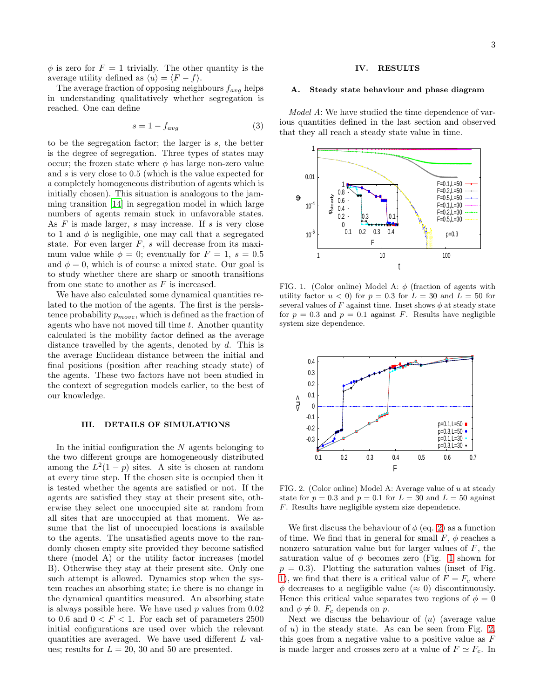$\phi$  is zero for  $F = 1$  trivially. The other quantity is the average utility defined as  $\langle u \rangle = \langle F - f \rangle$ .

The average fraction of opposing neighbours  $f_{avg}$  helps in understanding qualitatively whether segregation is reached. One can define

$$
s = 1 - f_{avg} \tag{3}
$$

to be the segregation factor; the larger is s, the better is the degree of segregation. Three types of states may occur; the frozen state where  $\phi$  has large non-zero value and s is very close to 0.5 (which is the value expected for a completely homogeneous distribution of agents which is initially chosen). This situation is analogous to the jamming transition [\[14\]](#page-8-12) in segregation model in which large numbers of agents remain stuck in unfavorable states. As  $F$  is made larger,  $s$  may increase. If  $s$  is very close to 1 and  $\phi$  is negligible, one may call that a segregated state. For even larger  $F$ , s will decrease from its maximum value while  $\phi = 0$ ; eventually for  $F = 1$ ,  $s = 0.5$ and  $\phi = 0$ , which is of course a mixed state. Our goal is to study whether there are sharp or smooth transitions from one state to another as  $F$  is increased.

We have also calculated some dynamical quantities related to the motion of the agents. The first is the persistence probability  $p_{move}$ , which is defined as the fraction of agents who have not moved till time  $t$ . Another quantity calculated is the mobility factor defined as the average distance travelled by the agents, denoted by d. This is the average Euclidean distance between the initial and final positions (position after reaching steady state) of the agents. These two factors have not been studied in the context of segregation models earlier, to the best of our knowledge.

#### III. DETAILS OF SIMULATIONS

In the initial configuration the  $N$  agents belonging to the two different groups are homogeneously distributed among the  $L^2(1-p)$  sites. A site is chosen at random at every time step. If the chosen site is occupied then it is tested whether the agents are satisfied or not. If the agents are satisfied they stay at their present site, otherwise they select one unoccupied site at random from all sites that are unoccupied at that moment. We assume that the list of unoccupied locations is available to the agents. The unsatisfied agents move to the randomly chosen empty site provided they become satisfied there (model A) or the utility factor increases (model B). Otherwise they stay at their present site. Only one such attempt is allowed. Dynamics stop when the system reaches an absorbing state; i.e there is no change in the dynamical quantities measured. An absorbing state is always possible here. We have used  $p$  values from  $0.02$ to 0.6 and  $0 < F < 1$ . For each set of parameters 2500 initial configurations are used over which the relevant quantities are averaged. We have used different L values; results for  $L = 20$ , 30 and 50 are presented.

## IV. RESULTS

#### Steady state behaviour and phase diagram

Model A: We have studied the time dependence of various quantities defined in the last section and observed that they all reach a steady state value in time.



<span id="page-2-0"></span>FIG. 1. (Color online) Model A:  $\phi$  (fraction of agents with utility factor  $u < 0$  for  $p = 0.3$  for  $L = 30$  and  $L = 50$  for several values of F against time. Inset shows  $\phi$  at steady state for  $p = 0.3$  and  $p = 0.1$  against F. Results have negligible system size dependence.



<span id="page-2-1"></span>FIG. 2. (Color online) Model A: Average value of u at steady state for  $p = 0.3$  and  $p = 0.1$  for  $L = 30$  and  $L = 50$  against F. Results have negligible system size dependence.

We first discuss the behaviour of  $\phi$  (eq. [2\)](#page-1-0) as a function of time. We find that in general for small  $F, \phi$  reaches a nonzero saturation value but for larger values of  $F$ , the saturation value of  $\phi$  becomes zero (Fig. [1](#page-2-0) shown for  $p = 0.3$ ). Plotting the saturation values (inset of Fig. [1\)](#page-2-0), we find that there is a critical value of  $F = F_c$  where  $\phi$  decreases to a negligible value ( $\approx$  0) discontinuously. Hence this critical value separates two regions of  $\phi = 0$ and  $\phi \neq 0$ .  $F_c$  depends on p.

Next we discuss the behaviour of  $\langle u \rangle$  (average value of  $u$ ) in the steady state. As can be seen from Fig. [2,](#page-2-1) this goes from a negative value to a positive value as  $F$ is made larger and crosses zero at a value of  $F \simeq F_c$ . In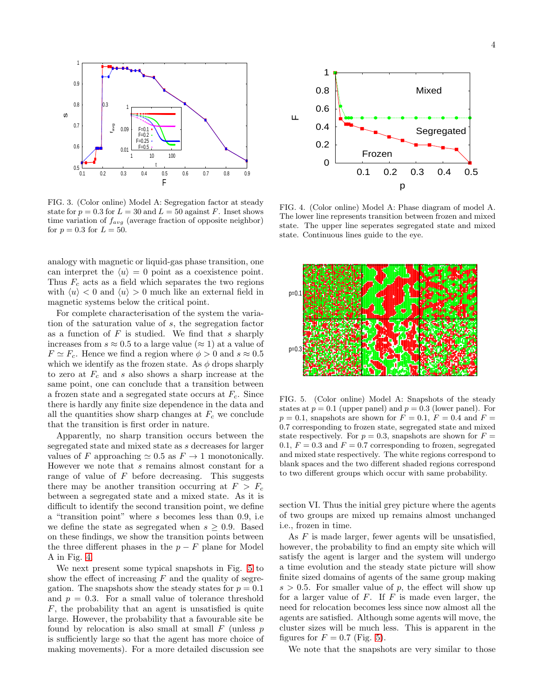

FIG. 3. (Color online) Model A: Segregation factor at steady state for  $p = 0.3$  for  $L = 30$  and  $L = 50$  against F. Inset shows time variation of  $f_{avg}$  (average fraction of opposite neighbor) for  $p = 0.3$  for  $L = 50$ .

analogy with magnetic or liquid-gas phase transition, one can interpret the  $\langle u \rangle = 0$  point as a coexistence point. Thus  $F_c$  acts as a field which separates the two regions with  $\langle u \rangle < 0$  and  $\langle u \rangle > 0$  much like an external field in magnetic systems below the critical point.

For complete characterisation of the system the variation of the saturation value of s, the segregation factor as a function of  $F$  is studied. We find that  $s$  sharply increases from  $s \approx 0.5$  to a large value  $(\approx 1)$  at a value of  $F \simeq F_c$ . Hence we find a region where  $\phi > 0$  and  $s \approx 0.5$ which we identify as the frozen state. As  $\phi$  drops sharply to zero at  $F_c$  and s also shows a sharp increase at the same point, one can conclude that a transition between a frozen state and a segregated state occurs at  $F_c$ . Since there is hardly any finite size dependence in the data and all the quantities show sharp changes at  $F_c$  we conclude that the transition is first order in nature.

Apparently, no sharp transition occurs between the segregated state and mixed state as s decreases for larger values of F approaching  $\simeq 0.5$  as  $F \to 1$  monotonically. However we note that s remains almost constant for a range of value of  $F$  before decreasing. This suggests there may be another transition occurring at  $F > F_c$ between a segregated state and a mixed state. As it is difficult to identify the second transition point, we define a "transition point" where s becomes less than 0.9, i.e we define the state as segregated when  $s \geq 0.9$ . Based on these findings, we show the transition points between the three different phases in the  $p - F$  plane for Model A in Fig. [4.](#page-3-0)

We next present some typical snapshots in Fig. [5](#page-3-1) to show the effect of increasing  $F$  and the quality of segregation. The snapshots show the steady states for  $p = 0.1$ and  $p = 0.3$ . For a small value of tolerance threshold F, the probability that an agent is unsatisfied is quite large. However, the probability that a favourable site be found by relocation is also small at small  $F$  (unless  $p$ ) is sufficiently large so that the agent has more choice of making movements). For a more detailed discussion see



<span id="page-3-0"></span>FIG. 4. (Color online) Model A: Phase diagram of model A. The lower line represents transition between frozen and mixed state. The upper line seperates segregated state and mixed state. Continuous lines guide to the eye.



<span id="page-3-1"></span>FIG. 5. (Color online) Model A: Snapshots of the steady states at  $p = 0.1$  (upper panel) and  $p = 0.3$  (lower panel). For  $p = 0.1$ , snapshots are shown for  $F = 0.1$ ,  $F = 0.4$  and  $F =$ 0.7 corresponding to frozen state, segregated state and mixed state respectively. For  $p = 0.3$ , snapshots are shown for  $F =$ 0.1,  $F = 0.3$  and  $F = 0.7$  corresponding to frozen, segregated and mixed state respectively. The white regions correspond to blank spaces and the two different shaded regions correspond to two different groups which occur with same probability.

section VI. Thus the initial grey picture where the agents of two groups are mixed up remains almost unchanged i.e., frozen in time.

As  $F$  is made larger, fewer agents will be unsatisfied, however, the probability to find an empty site which will satisfy the agent is larger and the system will undergo a time evolution and the steady state picture will show finite sized domains of agents of the same group making  $s > 0.5$ . For smaller value of p, the effect will show up for a larger value of  $F$ . If  $F$  is made even larger, the need for relocation becomes less since now almost all the agents are satisfied. Although some agents will move, the cluster sizes will be much less. This is apparent in the figures for  $F = 0.7$  (Fig. [5\)](#page-3-1).

We note that the snapshots are very similar to those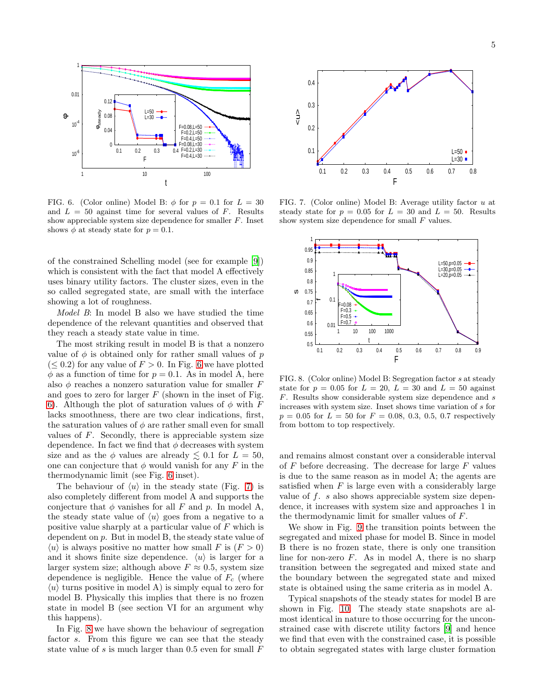

<span id="page-4-0"></span>FIG. 6. (Color online) Model B:  $\phi$  for  $p = 0.1$  for  $L = 30$ and  $L = 50$  against time for several values of F. Results show appreciable system size dependence for smaller F. Inset shows  $\phi$  at steady state for  $p = 0.1$ .

of the constrained Schelling model (see for example [\[9](#page-8-7)]) which is consistent with the fact that model A effectively uses binary utility factors. The cluster sizes, even in the so called segregated state, are small with the interface showing a lot of roughness.

Model B: In model B also we have studied the time dependence of the relevant quantities and observed that they reach a steady state value in time.

The most striking result in model B is that a nonzero value of  $\phi$  is obtained only for rather small values of p  $(\leq 0.2)$  for any value of  $F > 0$ . In Fig. [6](#page-4-0) we have plotted  $\phi$  as a function of time for  $p = 0.1$ . As in model A, here also  $\phi$  reaches a nonzero saturation value for smaller F and goes to zero for larger  $F$  (shown in the inset of Fig. [6\)](#page-4-0). Although the plot of saturation values of  $\phi$  with F lacks smoothness, there are two clear indications, first, the saturation values of  $\phi$  are rather small even for small values of  $F$ . Secondly, there is appreciable system size dependence. In fact we find that  $\phi$  decreases with system size and as the  $\phi$  values are already  $\lesssim$  0.1 for  $L = 50$ , one can conjecture that  $\phi$  would vanish for any F in the thermodynamic limit (see Fig. [6](#page-4-0) inset).

The behaviour of  $\langle u \rangle$  in the steady state (Fig. [7\)](#page-4-1) is also completely different from model A and supports the conjecture that  $\phi$  vanishes for all F and p. In model A, the steady state value of  $\langle u \rangle$  goes from a negative to a positive value sharply at a particular value of F which is dependent on p. But in model B, the steady state value of  $\langle u \rangle$  is always positive no matter how small F is  $(F > 0)$ and it shows finite size dependence.  $\langle u \rangle$  is larger for a larger system size; although above  $F \approx 0.5$ , system size dependence is negligible. Hence the value of  $F_c$  (where  $\langle u \rangle$  turns positive in model A) is simply equal to zero for model B. Physically this implies that there is no frozen state in model B (see section VI for an argument why this happens).

In Fig. [8](#page-4-2) we have shown the behaviour of segregation factor s. From this figure we can see that the steady state value of s is much larger than  $0.5$  even for small  $F$ 



<span id="page-4-1"></span>FIG. 7. (Color online) Model B: Average utility factor u at steady state for  $p = 0.05$  for  $L = 30$  and  $L = 50$ . Results show system size dependence for small  $F$  values.



<span id="page-4-2"></span>FIG. 8. (Color online) Model B: Segregation factor s at steady state for  $p = 0.05$  for  $L = 20$ ,  $L = 30$  and  $L = 50$  against F. Results show considerable system size dependence and s increases with system size. Inset shows time variation of s for  $p = 0.05$  for  $L = 50$  for  $F = 0.08, 0.3, 0.5, 0.7$  respectively from bottom to top respectively.

and remains almost constant over a considerable interval of  $F$  before decreasing. The decrease for large  $F$  values is due to the same reason as in model A; the agents are satisfied when  $F$  is large even with a considerably large value of f. s also shows appreciable system size dependence, it increases with system size and approaches 1 in the thermodynamic limit for smaller values of F.

We show in Fig. [9](#page-5-0) the transition points between the segregated and mixed phase for model B. Since in model B there is no frozen state, there is only one transition line for non-zero  $F$ . As in model A, there is no sharp transition between the segregated and mixed state and the boundary between the segregated state and mixed state is obtained using the same criteria as in model A.

Typical snapshots of the steady states for model B are shown in Fig. [10.](#page-5-1) The steady state snapshots are almost identical in nature to those occurring for the unconstrained case with discrete utility factors [\[9\]](#page-8-7) and hence we find that even with the constrained case, it is possible to obtain segregated states with large cluster formation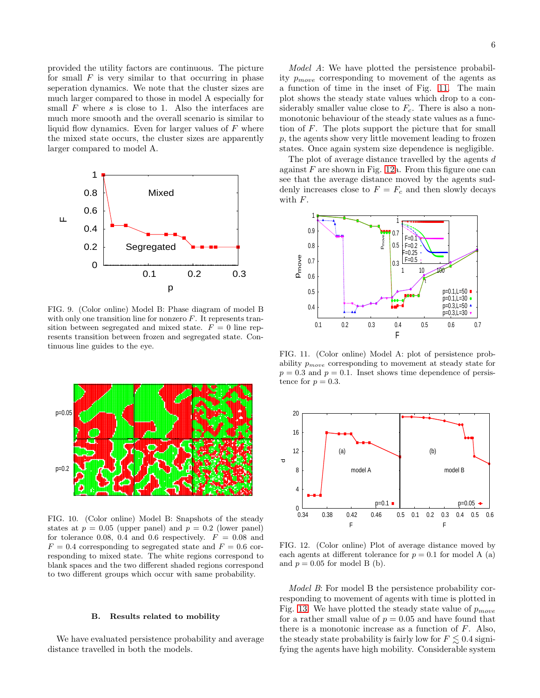provided the utility factors are continuous. The picture for small  $F$  is very similar to that occurring in phase seperation dynamics. We note that the cluster sizes are much larger compared to those in model A especially for small  $F$  where  $s$  is close to 1. Also the interfaces are much more smooth and the overall scenario is similar to liquid flow dynamics. Even for larger values of  $F$  where the mixed state occurs, the cluster sizes are apparently larger compared to model A.



<span id="page-5-0"></span>FIG. 9. (Color online) Model B: Phase diagram of model B with only one transition line for nonzero  $F$ . It represents transition between segregated and mixed state.  $F = 0$  line represents transition between frozen and segregated state. Continuous line guides to the eye.



<span id="page-5-1"></span>FIG. 10. (Color online) Model B: Snapshots of the steady states at  $p = 0.05$  (upper panel) and  $p = 0.2$  (lower panel) for tolerance 0.08, 0.4 and 0.6 respectively.  $F = 0.08$  and  $F = 0.4$  corresponding to segregated state and  $F = 0.6$  corresponding to mixed state. The white regions correspond to blank spaces and the two different shaded regions correspond to two different groups which occur with same probability.

#### B. Results related to mobility

We have evaluated persistence probability and average distance travelled in both the models.

Model A: We have plotted the persistence probability  $p_{move}$  corresponding to movement of the agents as a function of time in the inset of Fig. [11.](#page-5-2) The main plot shows the steady state values which drop to a considerably smaller value close to  $F_c$ . There is also a nonmonotonic behaviour of the steady state values as a function of F. The plots support the picture that for small p, the agents show very little movement leading to frozen states. Once again system size dependence is negligible.

The plot of average distance travelled by the agents  $d$ against  $F$  are shown in Fig. [12a](#page-5-3). From this figure one can see that the average distance moved by the agents suddenly increases close to  $F = F_c$  and then slowly decays with F.



<span id="page-5-2"></span>FIG. 11. (Color online) Model A: plot of persistence probability  $p_{move}$  corresponding to movement at steady state for  $p = 0.3$  and  $p = 0.1$ . Inset shows time dependence of persistence for  $p = 0.3$ .



<span id="page-5-3"></span>FIG. 12. (Color online) Plot of average distance moved by each agents at different tolerance for  $p = 0.1$  for model A (a) and  $p = 0.05$  for model B (b).

Model B: For model B the persistence probability corresponding to movement of agents with time is plotted in Fig. [13.](#page-6-0) We have plotted the steady state value of  $p_{move}$ for a rather small value of  $p = 0.05$  and have found that there is a monotonic increase as a function of  $F$ . Also, the steady state probability is fairly low for  $F \lesssim 0.4$  signifying the agents have high mobility. Considerable system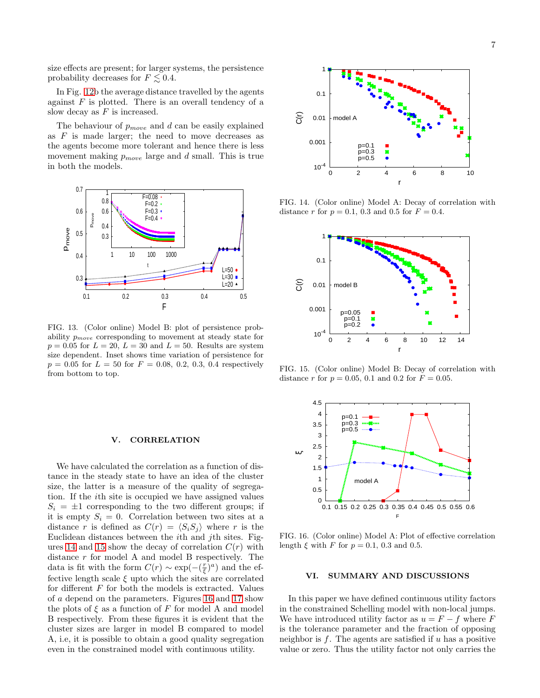size effects are present; for larger systems, the persistence probability decreases for  $F \leq 0.4$ .

In Fig. [12b](#page-5-3) the average distance travelled by the agents against  $F$  is plotted. There is an overall tendency of a slow decay as  $F$  is increased.

The behaviour of  $p_{move}$  and  $d$  can be easily explained as  $F$  is made larger; the need to move decreases as the agents become more tolerant and hence there is less movement making  $p_{move}$  large and d small. This is true in both the models.



<span id="page-6-0"></span>FIG. 13. (Color online) Model B: plot of persistence probability  $p_{move}$  corresponding to movement at steady state for  $p = 0.05$  for  $L = 20$ ,  $L = 30$  and  $L = 50$ . Results are system size dependent. Inset shows time variation of persistence for  $p = 0.05$  for  $L = 50$  for  $F = 0.08, 0.2, 0.3, 0.4$  respectively from bottom to top.

# V. CORRELATION

We have calculated the correlation as a function of distance in the steady state to have an idea of the cluster size, the latter is a measure of the quality of segregation. If the ith site is occupied we have assigned values  $S_i = \pm 1$  corresponding to the two different groups; if it is empty  $S_i = 0$ . Correlation between two sites at a distance r is defined as  $C(r) = \langle S_iS_j \rangle$  where r is the Euclidean distances between the ith and jth sites. Fig-ures [14](#page-6-1) and [15](#page-6-2) show the decay of correlation  $C(r)$  with distance r for model A and model B respectively. The data is fit with the form  $C(r) \sim \exp(-(\frac{r}{\xi})^a)$  and the effective length scale  $\xi$  upto which the sites are correlated for different  $F$  for both the models is extracted. Values of a depend on the parameters. Figures [16](#page-6-3) and [17](#page-7-0) show the plots of  $\xi$  as a function of F for model A and model B respectively. From these figures it is evident that the cluster sizes are larger in model B compared to model A, i.e, it is possible to obtain a good quality segregation even in the constrained model with continuous utility.



FIG. 14. (Color online) Model A: Decay of correlation with distance r for  $p = 0.1$ , 0.3 and 0.5 for  $F = 0.4$ .

<span id="page-6-1"></span>

FIG. 15. (Color online) Model B: Decay of correlation with distance r for  $p = 0.05, 0.1$  and 0.2 for  $F = 0.05$ .

<span id="page-6-2"></span>

FIG. 16. (Color online) Model A: Plot of effective correlation length  $\xi$  with F for  $p = 0.1, 0.3$  and 0.5.

## <span id="page-6-3"></span>VI. SUMMARY AND DISCUSSIONS

In this paper we have defined continuous utility factors in the constrained Schelling model with non-local jumps. We have introduced utility factor as  $u = F - f$  where F is the tolerance parameter and the fraction of opposing neighbor is  $f$ . The agents are satisfied if  $u$  has a positive value or zero. Thus the utility factor not only carries the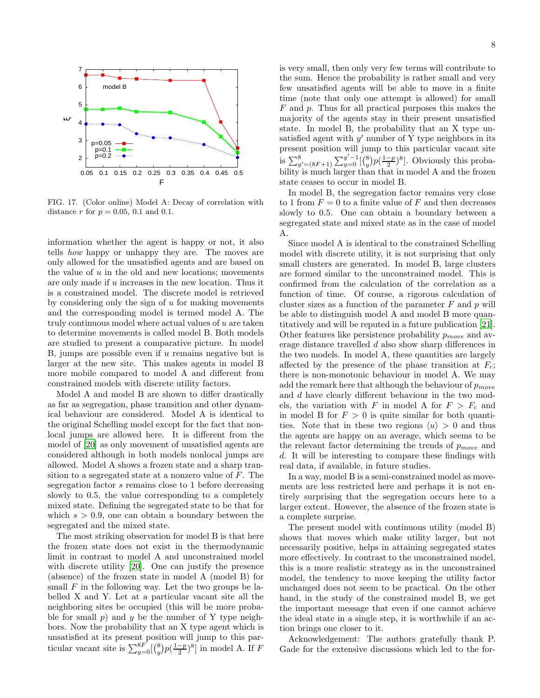

<span id="page-7-0"></span>FIG. 17. (Color online) Model A: Decay of correlation with distance r for  $p = 0.05, 0.1$  and 0.1.

information whether the agent is happy or not, it also tells how happy or unhappy they are. The moves are only allowed for the unsatisfied agents and are based on the value of  $u$  in the old and new locations; movements are only made if u increases in the new location. Thus it is a constrained model. The discrete model is retrieved by considering only the sign of  $u$  for making movements and the corresponding model is termed model A. The truly continuous model where actual values of u are taken to determine movements is called model B. Both models are studied to present a comparative picture. In model B, jumps are possible even if  $u$  remains negative but is larger at the new site. This makes agents in model B more mobile compared to model A and different from constrained models with discrete utility factors.

Model A and model B are shown to differ drastically as far as segregation, phase transition and other dynamical behaviour are considered. Model A is identical to the original Schelling model except for the fact that nonlocal jumps are allowed here. It is different from the model of [\[20\]](#page-8-18) as only movement of unsatisfied agents are considered although in both models nonlocal jumps are allowed. Model A shows a frozen state and a sharp transition to a segregated state at a nonzero value of  $F$ . The segregation factor s remains close to 1 before decreasing slowly to 0.5, the value corresponding to a completely mixed state. Defining the segregated state to be that for which  $s > 0.9$ , one can obtain a boundary between the segregated and the mixed state.

The most striking observation for model B is that here the frozen state does not exist in the thermodynamic limit in contrast to model A and unconstrained model with discrete utility [\[20\]](#page-8-18). One can justify the presence (absence) of the frozen state in model A (model B) for small  $F$  in the following way. Let the two groups be labelled X and Y. Let at a particular vacant site all the neighboring sites be occupied (this will be more probable for small p) and y be the number of Y type neighbors. Now the probability that an X type agent which is unsatisfied at its present position will jump to this particular vacant site is  $\sum_{y=0}^{8F} \left[ \binom{8}{y} p(\frac{1-p}{2})^8 \right]$  in model A. If F

is very small, then only very few terms will contribute to the sum. Hence the probability is rather small and very few unsatisfied agents will be able to move in a finite time (note that only one attempt is allowed) for small F and p. Thus for all practical purposes this makes the majority of the agents stay in their present unsatisfied state. In model B, the probability that an X type unsatisfied agent with  $y'$  number of  $\check{Y}$  type neighbors in its present position will jump to this particular vacant site is  $\sum_{y'= (8F+1)}^{8} \sum_{y=0}^{y'-1} {8 \choose y} p(\frac{1-p}{2})^8$ . Obviously this probability is much larger than that in model A and the frozen

In model B, the segregation factor remains very close to 1 from  $F = 0$  to a finite value of F and then decreases slowly to 0.5. One can obtain a boundary between a segregated state and mixed state as in the case of model A.

state ceases to occur in model B.

Since model A is identical to the constrained Schelling model with discrete utility, it is not surprising that only small clusters are generated. In model B, large clusters are formed similar to the unconstrained model. This is confirmed from the calculation of the correlation as a function of time. Of course, a rigorous calculation of cluster sizes as a function of the parameter  $F$  and  $p$  will be able to distinguish model A and model B more quantitatively and will be reputed in a future publication [\[21\]](#page-8-19). Other features like persistence probability  $p_{move}$  and average distance travelled d also show sharp differences in the two models. In model A, these quantities are largely affected by the presence of the phase transition at  $F_c$ ; there is non-monotonic behaviour in model A. We may add the remark here that although the behaviour of  $p_{move}$ and d have clearly different behaviour in the two models, the variation with F in model A for  $F > F_c$  and in model B for  $F > 0$  is quite similar for both quantities. Note that in these two regions  $\langle u \rangle > 0$  and thus the agents are happy on an average, which seems to be the relevant factor determining the trends of  $p_{move}$  and d. It will be interesting to compare these findings with real data, if available, in future studies.

In a way, model B is a semi-constrained model as movements are less restricted here and perhaps it is not entirely surprising that the segregation occurs here to a larger extent. However, the absence of the frozen state is a complete surprise.

The present model with continuous utility (model B) shows that moves which make utility larger, but not necessarily positive, helps in attaining segregated states more effectively. In contrast to the unconstrained model, this is a more realistic strategy as in the unconstrained model, the tendency to move keeping the utility factor unchanged does not seem to be practical. On the other hand, in the study of the constrained model B, we get the important message that even if one cannot achieve the ideal state in a single step, it is worthwhile if an action brings one closer to it.

Acknowledgement: The authors gratefully thank P. Gade for the extensive discussions which led to the for